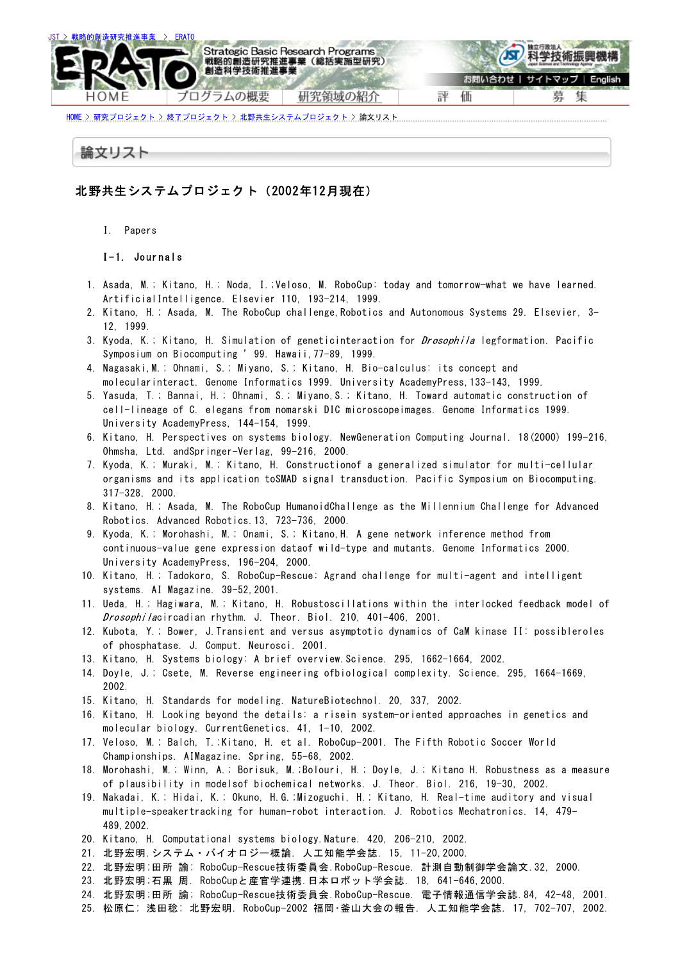

<u>[HOME](https://www.jst.go.jp/erato/index-j.html) > [研究プロジェクト](https://www.jst.go.jp/erato/contents-j.html) > [終了プロジェクト](https://www.jst.go.jp/erato/post_project-j.html) > [北野共生システムプロジェクト](https://www.jst.go.jp/erato/project/kks2_P/kks2_P-j.html) > 論文リスト ………………</u>

## 論文リスト

## 北野共生システムプロジェクト(2002年12月現在)

I. Papers

I-1. Journals

- 1. Asada, M.; Kitano, H.; Noda, I.;Veloso, M. RoboCup: today and tomorrow—what we have learned. ArtificialIntelligence. Elsevier 110, 193-214, 1999.
- 2. Kitano, H.; Asada, M. The RoboCup challenge,Robotics and Autonomous Systems 29. Elsevier, 3- 12, 1999.
- 3. Kyoda, K.; Kitano, H. Simulation of geneticinteraction for *Drosophila* legformation. Pacific Symposium on Biocomputing '99. Hawaii,77-89, 1999.
- 4. Nagasaki,M.; Ohnami, S.; Miyano, S.; Kitano, H. Bio-calculus: its concept and molecularinteract. Genome Informatics 1999. University AcademyPress,133-143, 1999.
- 5. Yasuda, T.; Bannai, H.; Ohnami, S.; Miyano,S.; Kitano, H. Toward automatic construction of cell-lineage of C. elegans from nomarski DIC microscopeimages. Genome Informatics 1999. University AcademyPress, 144-154, 1999.
- 6. Kitano, H. Perspectives on systems biology. NewGeneration Computing Journal. 18(2000) 199-216, Ohmsha, Ltd. andSpringer-Verlag, 99-216, 2000.
- 7. Kyoda, K.; Muraki, M.; Kitano, H. Constructionof a generalized simulator for multi-cellular organisms and its application toSMAD signal transduction. Pacific Symposium on Biocomputing. 317-328, 2000.
- 8. Kitano, H.; Asada, M. The RoboCup HumanoidChallenge as the Millennium Challenge for Advanced Robotics. Advanced Robotics.13, 723-736, 2000.
- 9. Kyoda, K.; Morohashi, M.; Onami, S.; Kitano,H. A gene network inference method from continuous-value gene expression dataof wild-type and mutants. Genome Informatics 2000. University AcademyPress, 196-204, 2000.
- 10. Kitano, H.; Tadokoro, S. RoboCup-Rescue: Agrand challenge for multi-agent and intelligent systems. AI Magazine. 39-52,2001.
- 11. Ueda, H.; Hagiwara, M.; Kitano, H. Robustoscillations within the interlocked feedback model of Drosophilacircadian rhythm. J. Theor. Biol. 210, 401-406, 2001.
- 12. Kubota, Y.; Bower, J.Transient and versus asymptotic dynamics of CaM kinase II: possibleroles of phosphatase. J. Comput. Neurosci. 2001.
- 13. Kitano, H. Systems biology: A brief overview.Science. 295, 1662-1664, 2002.
- 14. Doyle, J.; Csete, M. Reverse engineering ofbiological complexity. Science. 295, 1664-1669, 2002.
- 15. Kitano, H. Standards for modeling. NatureBiotechnol. 20, 337, 2002.
- 16. Kitano, H. Looking beyond the details: a risein system-oriented approaches in genetics and molecular biology. CurrentGenetics. 41, 1-10, 2002.
- 17. Veloso, M.; Balch, T.;Kitano, H. et al. RoboCup-2001. The Fifth Robotic Soccer World Championships. AIMagazine. Spring, 55-68, 2002.
- 18. Morohashi, M.; Winn, A.; Borisuk, M.;Bolouri, H.; Doyle, J.; Kitano H. Robustness as a measure of plausibility in modelsof biochemical networks. J. Theor. Biol. 216, 19-30, 2002.
- 19. Nakadai, K.; Hidai, K.; Okuno, H.G.;Mizoguchi, H.; Kitano, H. Real-time auditory and visual multiple-speakertracking for human-robot interaction. J. Robotics Mechatronics. 14, 479- 489,2002.
- 20. Kitano, H. Computational systems biology.Nature. 420, 206-210, 2002.
- 21. 北野宏明.システム・バイオロジー概論. 人工知能学会誌. 15, 11-20,2000.
- 22. 北野宏明;田所 諭; RoboCup-Rescue技術委員会.RoboCup-Rescue. 計測自動制御学会論文.32, 2000.
- 23. 北野宏明;石黒 周. RoboCupと産官学連携.日本ロボット学会誌. 18, 641-646,2000.
- 24. 北野宏明;田所 諭; RoboCup-Rescue技術委員会.RoboCup-Rescue. 電子情報通信学会誌.84, 42-48, 2001.
- 25. 松原仁; 浅田稔; 北野宏明. RoboCup-2002 福岡・釜山大会の報告. 人工知能学会誌. 17, 702-707, 2002.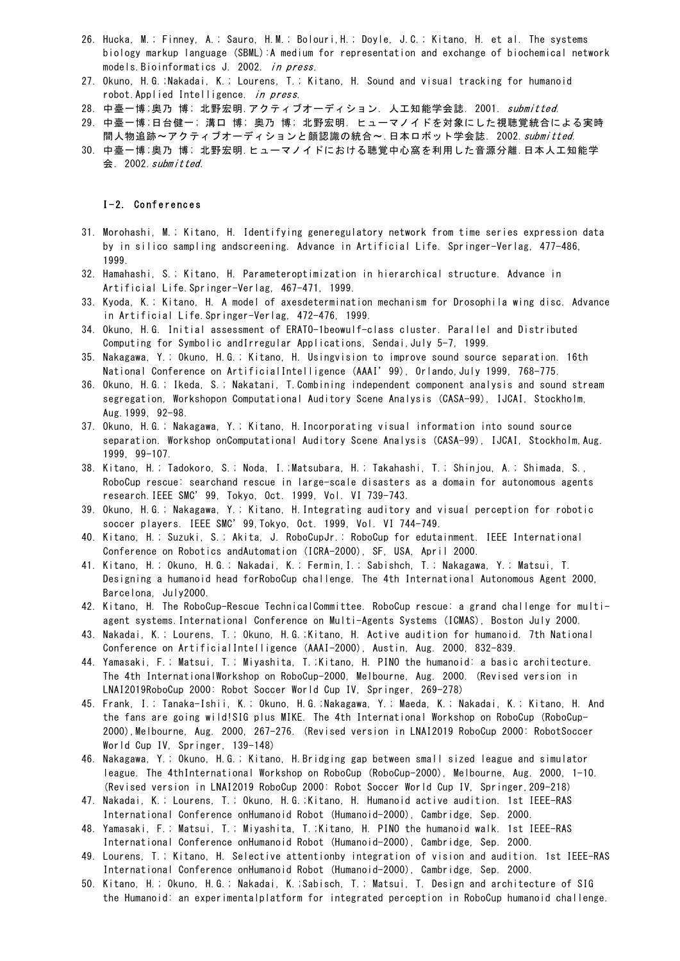- 26. Hucka, M.; Finney, A.; Sauro, H.M.; Bolouri,H.; Doyle, J.C.; Kitano, H. et al. The systems biology markup language (SBML):A medium for representation and exchange of biochemical network models.Bioinformatics J. 2002. in press.
- 27. Okuno, H.G.;Nakadai, K.; Lourens, T.; Kitano, H. Sound and visual tracking for humanoid robot.Applied Intelligence. in press.
- 28. 中臺一博;奥乃 博; 北野宏明.アクティブオーディション. 人工知能学会誌. 2001. submitted.
- 29. 中臺一博;日台健一; 溝口 博; 奥乃 博; 北野宏明. ヒューマノイドを対象にした視聴覚統合による実時 間人物追跡~アクティブオーディションと顔認識の統合~.日本ロボット学会誌. 2002.submitted.
- 30. 中臺一博;奥乃 博; 北野宏明.ヒューマノイドにおける聴覚中心窩を利用した音源分離.日本人工知能学 会. 2002.submitted.

I-2. Conferences

- 31. Morohashi, M.; Kitano, H. Identifying generegulatory network from time series expression data by in silico sampling andscreening. Advance in Artificial Life. Springer-Verlag, 477-486, 1999.
- 32. Hamahashi, S.; Kitano, H. Parameteroptimization in hierarchical structure. Advance in Artificial Life.Springer-Verlag, 467-471, 1999.
- 33. Kyoda, K.; Kitano, H. A model of axesdetermination mechanism for Drosophila wing disc. Advance in Artificial Life.Springer-Verlag, 472-476, 1999.
- 34. Okuno, H.G. Initial assessment of ERATO-1beowulf-class cluster. Parallel and Distributed Computing for Symbolic andIrregular Applications, Sendai, July 5-7, 1999.
- 35. Nakagawa, Y.; Okuno, H.G.; Kitano, H. Usingvision to improve sound source separation. 16th National Conference on ArtificialIntelligence (AAAI'99), Orlando,July 1999, 768-775.
- 36. Okuno, H.G.; Ikeda, S.; Nakatani, T.Combining independent component analysis and sound stream segregation, Workshopon Computational Auditory Scene Analysis (CASA-99), IJCAI, Stockholm, Aug.1999, 92-98.
- 37. Okuno, H.G.; Nakagawa, Y.; Kitano, H.Incorporating visual information into sound source separation. Workshop onComputational Auditory Scene Analysis (CASA-99), IJCAI, Stockholm,Aug. 1999, 99-107.
- 38. Kitano, H.; Tadokoro, S.; Noda, I.;Matsubara, H.; Takahashi, T.; Shinjou, A.; Shimada, S., RoboCup rescue: searchand rescue in large-scale disasters as a domain for autonomous agents research.IEEE SMC'99, Tokyo, Oct. 1999, Vol. VI 739-743.
- 39. Okuno, H.G.; Nakagawa, Y.; Kitano, H.Integrating auditory and visual perception for robotic soccer players. IEEE SMC'99,Tokyo, Oct. 1999, Vol. VI 744-749.
- 40. Kitano, H.; Suzuki, S.; Akita, J. RoboCupJr.: RoboCup for edutainment. IEEE International Conference on Robotics andAutomation (ICRA-2000), SF, USA, April 2000.
- 41. Kitano, H.; Okuno, H.G.; Nakadai, K.; Fermin,I.; Sabishch, T.; Nakagawa, Y.; Matsui, T. Designing a humanoid head forRoboCup challenge. The 4th International Autonomous Agent 2000, Barcelona, July2000.
- 42. Kitano, H. The RoboCup-Rescue TechnicalCommittee. RoboCup rescue: a grand challenge for multiagent systems.International Conference on Multi-Agents Systems (ICMAS), Boston July 2000.
- 43. Nakadai, K.; Lourens, T.; Okuno, H.G.;Kitano, H. Active audition for humanoid. 7th National Conference on ArtificialIntelligence (AAAI-2000), Austin, Aug. 2000, 832-839.
- 44. Yamasaki, F.; Matsui, T.; Miyashita, T.;Kitano, H. PINO the humanoid: a basic architecture. The 4th InternationalWorkshop on RoboCup-2000, Melbourne, Aug. 2000. (Revised version in LNAI2019RoboCup 2000: Robot Soccer World Cup IV, Springer, 269-278)
- 45. Frank, I.; Tanaka-Ishii, K.; Okuno, H.G.;Nakagawa, Y.; Maeda, K.; Nakadai, K.; Kitano, H. And the fans are going wild!SIG plus MIKE. The 4th International Workshop on RoboCup (RoboCup-2000),Melbourne, Aug. 2000, 267-276. (Revised version in LNAI2019 RoboCup 2000: RobotSoccer World Cup IV, Springer, 139-148)
- 46. Nakagawa, Y.; Okuno, H.G.; Kitano, H.Bridging gap between small sized league and simulator league. The 4thInternational Workshop on RoboCup (RoboCup-2000), Melbourne, Aug. 2000, 1-10. (Revised version in LNAI2019 RoboCup 2000: Robot Soccer World Cup IV, Springer,209-218)
- 47. Nakadai, K.; Lourens, T.; Okuno, H.G.;Kitano, H. Humanoid active audition. 1st IEEE-RAS International Conference onHumanoid Robot (Humanoid-2000), Cambridge, Sep. 2000.
- 48. Yamasaki, F.; Matsui, T.; Miyashita, T.;Kitano, H. PINO the humanoid walk. 1st IEEE-RAS International Conference onHumanoid Robot (Humanoid-2000), Cambridge, Sep. 2000.
- 49. Lourens, T.; Kitano, H. Selective attentionby integration of vision and audition. 1st IEEE-RAS International Conference onHumanoid Robot (Humanoid-2000), Cambridge, Sep. 2000.
- 50. Kitano, H.; Okuno, H.G.; Nakadai, K.;Sabisch, T.; Matsui, T. Design and architecture of SIG the Humanoid: an experimentalplatform for integrated perception in RoboCup humanoid challenge.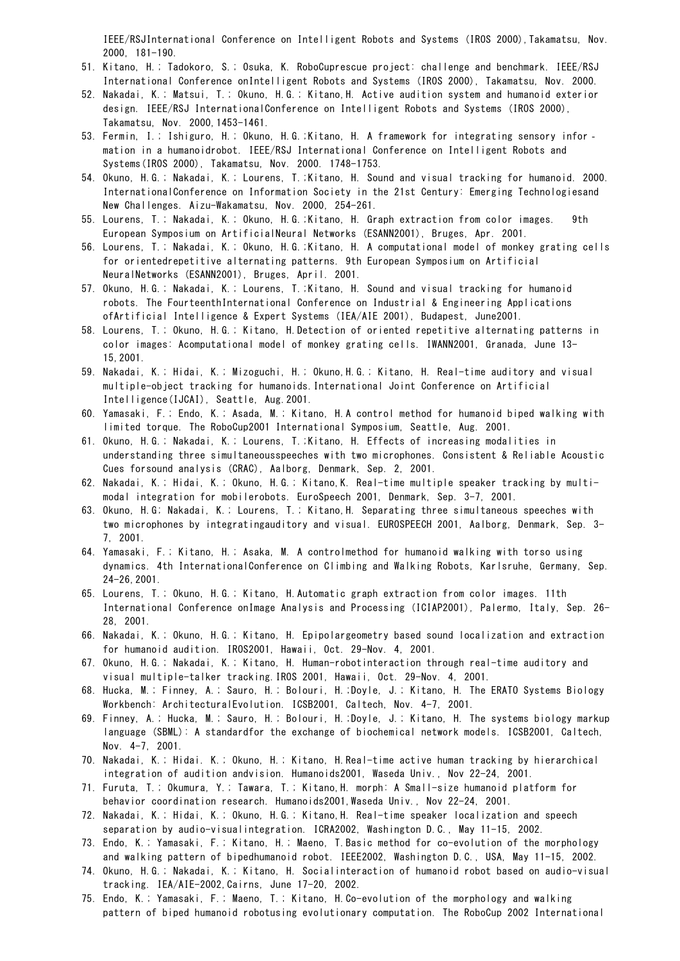IEEE/RSJInternational Conference on Intelligent Robots and Systems (IROS 2000),Takamatsu, Nov. 2000, 181-190.

- 51. Kitano, H.; Tadokoro, S.; Osuka, K. RoboCuprescue project: challenge and benchmark. IEEE/RSJ International Conference onIntelligent Robots and Systems (IROS 2000), Takamatsu, Nov. 2000.
- 52. Nakadai, K.; Matsui, T.; Okuno, H.G.; Kitano,H. Active audition system and humanoid exterior design. IEEE/RSJ InternationalConference on Intelligent Robots and Systems (IROS 2000), Takamatsu, Nov. 2000,1453-1461.
- 53. Fermin, I.; Ishiguro, H.; Okuno, H.G.;Kitano, H. A framework for integrating sensory infor mation in a humanoidrobot. IEEE/RSJ International Conference on Intelligent Robots and Systems(IROS 2000), Takamatsu, Nov. 2000. 1748-1753.
- 54. Okuno, H.G.; Nakadai, K.; Lourens, T.;Kitano, H. Sound and visual tracking for humanoid. 2000. InternationalConference on Information Society in the 21st Century: Emerging Technologiesand New Challenges. Aizu-Wakamatsu, Nov. 2000, 254-261.
- 55. Lourens, T.; Nakadai, K.; Okuno, H.G.;Kitano, H. Graph extraction from color images. 9th European Symposium on ArtificialNeural Networks (ESANN2001), Bruges, Apr. 2001.
- 56. Lourens, T.; Nakadai, K.; Okuno, H.G.;Kitano, H. A computational model of monkey grating cells for orientedrepetitive alternating patterns. 9th European Symposium on Artificial NeuralNetworks (ESANN2001), Bruges, April. 2001.
- 57. Okuno, H.G.; Nakadai, K.; Lourens, T.;Kitano, H. Sound and visual tracking for humanoid robots. The FourteenthInternational Conference on Industrial & Engineering Applications ofArtificial Intelligence & Expert Systems (IEA/AIE 2001), Budapest, June2001.
- 58. Lourens, T.; Okuno, H.G.; Kitano, H.Detection of oriented repetitive alternating patterns in color images: Acomputational model of monkey grating cells. IWANN2001, Granada, June 13- 15,2001.
- 59. Nakadai, K.; Hidai, K.; Mizoguchi, H.; Okuno,H.G.; Kitano, H. Real-time auditory and visual multiple-object tracking for humanoids.International Joint Conference on Artificial Intelligence(IJCAI), Seattle, Aug.2001.
- 60. Yamasaki, F.; Endo, K.; Asada, M.; Kitano, H.A control method for humanoid biped walking with limited torque. The RoboCup2001 International Symposium, Seattle, Aug. 2001.
- 61. Okuno, H.G.; Nakadai, K.; Lourens, T.;Kitano, H. Effects of increasing modalities in understanding three simultaneousspeeches with two microphones. Consistent & Reliable Acoustic Cues forsound analysis (CRAC), Aalborg, Denmark, Sep. 2, 2001.
- 62. Nakadai, K.; Hidai, K.; Okuno, H.G.; Kitano,K. Real-time multiple speaker tracking by multimodal integration for mobilerobots. EuroSpeech 2001, Denmark, Sep. 3-7, 2001.
- 63. Okuno, H.G; Nakadai, K.; Lourens, T.; Kitano,H. Separating three simultaneous speeches with two microphones by integratingauditory and visual. EUROSPEECH 2001, Aalborg, Denmark, Sep. 3- 7, 2001.
- 64. Yamasaki, F.; Kitano, H.; Asaka, M. A controlmethod for humanoid walking with torso using dynamics. 4th InternationalConference on Climbing and Walking Robots, Karlsruhe, Germany, Sep. 24-26,2001.
- 65. Lourens, T.; Okuno, H.G.; Kitano, H.Automatic graph extraction from color images. 11th International Conference onImage Analysis and Processing (ICIAP2001), Palermo, Italy, Sep. 26- 28, 2001.
- 66. Nakadai, K.; Okuno, H.G.; Kitano, H. Epipolargeometry based sound localization and extraction for humanoid audition. IROS2001, Hawaii, Oct. 29-Nov. 4, 2001.
- 67. Okuno, H.G.; Nakadai, K.; Kitano, H. Human-robotinteraction through real-time auditory and visual multiple-talker tracking.IROS 2001, Hawaii, Oct. 29-Nov. 4, 2001.
- 68. Hucka, M.; Finney, A.; Sauro, H.; Bolouri, H.;Doyle, J.; Kitano, H. The ERATO Systems Biology Workbench: ArchitecturalEvolution. ICSB2001, Caltech, Nov. 4-7, 2001.
- 69. Finney, A.; Hucka, M.; Sauro, H.; Bolouri, H.;Doyle, J.; Kitano, H. The systems biology markup language (SBML): A standardfor the exchange of biochemical network models. ICSB2001, Caltech, Nov. 4-7, 2001.
- 70. Nakadai, K.; Hidai. K.; Okuno, H.; Kitano, H.Real-time active human tracking by hierarchical integration of audition andvision. Humanoids2001, Waseda Univ., Nov 22-24, 2001.
- 71. Furuta, T.; Okumura, Y.; Tawara, T.; Kitano,H. morph: A Small-size humanoid platform for behavior coordination research. Humanoids2001, Waseda Univ., Nov 22-24, 2001.
- 72. Nakadai, K.; Hidai, K.; Okuno, H.G.; Kitano,H. Real-time speaker localization and speech separation by audio-visualintegration. ICRA2002, Washington D.C., May 11-15, 2002.
- 73. Endo, K.; Yamasaki, F.; Kitano, H.; Maeno, T.Basic method for co-evolution of the morphology and walking pattern of bipedhumanoid robot. IEEE2002, Washington D.C., USA, May 11-15, 2002.
- 74. Okuno, H.G.; Nakadai, K.; Kitano, H. Socialinteraction of humanoid robot based on audio-visual tracking. IEA/AIE-2002,Cairns, June 17-20, 2002.
- 75. Endo, K.; Yamasaki, F.; Maeno, T.; Kitano, H.Co-evolution of the morphology and walking pattern of biped humanoid robotusing evolutionary computation. The RoboCup 2002 International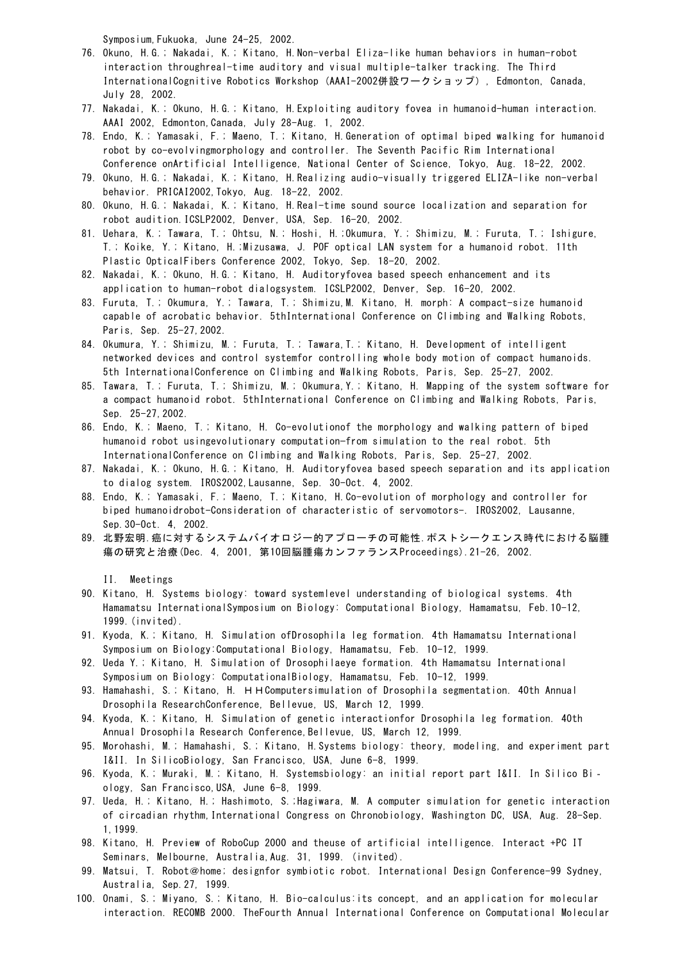Symposium,Fukuoka, June 24-25, 2002.

- 76. Okuno, H.G.; Nakadai, K.; Kitano, H.Non-verbal Eliza-like human behaviors in human-robot interaction throughreal-time auditory and visual multiple-talker tracking. The Third InternationalCognitive Robotics Workshop (AAAI-2002併設ワークショップ), Edmonton, Canada, July 28, 2002.
- 77. Nakadai, K.; Okuno, H.G.; Kitano, H.Exploiting auditory fovea in humanoid-human interaction. AAAI 2002, Edmonton,Canada, July 28-Aug. 1, 2002.
- 78. Endo, K.; Yamasaki, F.; Maeno, T.; Kitano, H.Generation of optimal biped walking for humanoid robot by co-evolvingmorphology and controller. The Seventh Pacific Rim International Conference onArtificial Intelligence, National Center of Science, Tokyo, Aug. 18-22, 2002.
- 79. Okuno, H.G.; Nakadai, K.; Kitano, H.Realizing audio-visually triggered ELIZA-like non-verbal behavior. PRICAI2002,Tokyo, Aug. 18-22, 2002.
- 80. Okuno, H.G.; Nakadai, K.; Kitano, H.Real-time sound source localization and separation for robot audition.ICSLP2002, Denver, USA, Sep. 16-20, 2002.
- 81. Uehara, K.; Tawara, T.; Ohtsu, N.; Hoshi, H.;Okumura, Y.; Shimizu, M.; Furuta, T.; Ishigure, T.; Koike, Y.; Kitano, H.;Mizusawa, J. POF optical LAN system for a humanoid robot. 11th Plastic OpticalFibers Conference 2002, Tokyo, Sep. 18-20, 2002.
- 82. Nakadai, K.; Okuno, H.G.; Kitano, H. Auditoryfovea based speech enhancement and its application to human-robot dialogsystem. ICSLP2002, Denver, Sep. 16-20, 2002.
- 83. Furuta, T.; Okumura, Y.; Tawara, T.; Shimizu,M. Kitano, H. morph: A compact-size humanoid capable of acrobatic behavior. 5thInternational Conference on Climbing and Walking Robots, Paris, Sep. 25-27,2002.
- 84. Okumura, Y.; Shimizu, M.; Furuta, T.; Tawara,T.; Kitano, H. Development of intelligent networked devices and control systemfor controlling whole body motion of compact humanoids. 5th InternationalConference on Climbing and Walking Robots, Paris, Sep. 25-27, 2002.
- 85. Tawara, T.; Furuta, T.; Shimizu, M.; Okumura,Y.; Kitano, H. Mapping of the system software for a compact humanoid robot. 5thInternational Conference on Climbing and Walking Robots, Paris, Sep. 25-27,2002.
- 86. Endo, K.; Maeno, T.; Kitano, H. Co-evolutionof the morphology and walking pattern of biped humanoid robot usingevolutionary computation—from simulation to the real robot. 5th InternationalConference on Climbing and Walking Robots, Paris, Sep. 25-27, 2002.
- 87. Nakadai, K.; Okuno, H.G.; Kitano, H. Auditoryfovea based speech separation and its application to dialog system. IROS2002,Lausanne, Sep. 30-Oct. 4, 2002.
- 88. Endo, K.; Yamasaki, F.; Maeno, T.; Kitano, H.Co-evolution of morphology and controller for biped humanoidrobot-Consideration of characteristic of servomotors-. IROS2002, Lausanne, Sep.30-Oct. 4, 2002.
- 89. 北野宏明.癌に対するシステムバイオロジー的アプローチの可能性.ポストシークエンス時代における脳腫 瘍の研究と治療(Dec. 4, 2001, 第10回脳腫瘍カンファランスProceedings).21-26, 2002.

II. Meetings

- 90. Kitano, H. Systems biology: toward systemlevel understanding of biological systems. 4th Hamamatsu InternationalSymposium on Biology: Computational Biology, Hamamatsu, Feb.10-12, 1999.(invited).
- 91. Kyoda, K.; Kitano, H. Simulation ofDrosophila leg formation. 4th Hamamatsu International Symposium on Biology:Computational Biology, Hamamatsu, Feb. 10-12, 1999.
- 92. Ueda Y.; Kitano, H. Simulation of Drosophilaeye formation. 4th Hamamatsu International Symposium on Biology: ComputationalBiology, Hamamatsu, Feb. 10-12, 1999.
- 93. Hamahashi, S.; Kitano, H. HHComputersimulation of Drosophila segmentation. 40th Annual Drosophila ResearchConference, Bellevue, US, March 12, 1999.
- 94. Kyoda, K.; Kitano, H. Simulation of genetic interactionfor Drosophila leg formation. 40th Annual Drosophila Research Conference, Bellevue, US, March 12, 1999.
- 95. Morohashi, M.; Hamahashi, S.; Kitano, H.Systems biology: theory, modeling, and experiment part I&II. In SilicoBiology, San Francisco, USA, June 6-8, 1999.
- 96. Kyoda, K.; Muraki, M.; Kitano, H. Systemsbiology: an initial report part I&II. In Silico Bi‐ ology, San Francisco,USA, June 6-8, 1999.
- 97. Ueda, H.; Kitano, H.; Hashimoto, S.;Hagiwara, M. A computer simulation for genetic interaction of circadian rhythm, International Congress on Chronobiology, Washington DC, USA, Aug. 28-Sep. 1,1999.
- 98. Kitano, H. Preview of RoboCup 2000 and theuse of artificial intelligence. Interact +PC IT Seminars, Melbourne, Australia,Aug. 31, 1999. (invited).
- 99. Matsui, T. Robot@home; designfor symbiotic robot. International Design Conference-99 Sydney, Australia, Sep.27, 1999.
- 100. Onami, S.; Miyano, S.; Kitano, H. Bio-calculus:its concept, and an application for molecular interaction. RECOMB 2000. TheFourth Annual International Conference on Computational Molecular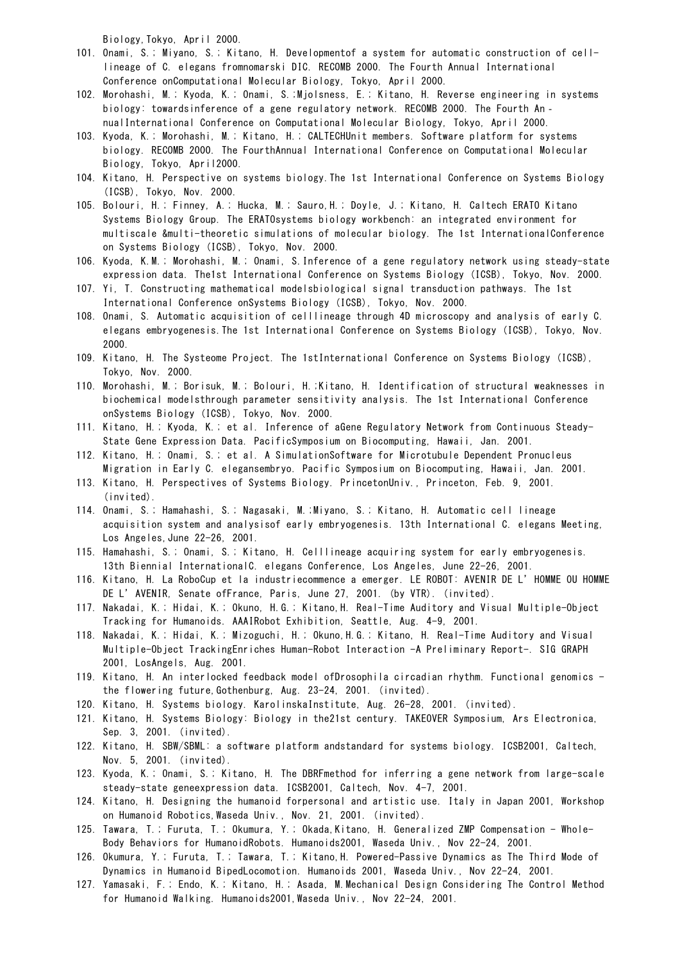Biology,Tokyo, April 2000.

- 101. Onami, S.; Miyano, S.; Kitano, H. Developmentof a system for automatic construction of celllineage of C. elegans fromnomarski DIC. RECOMB 2000. The Fourth Annual International Conference onComputational Molecular Biology, Tokyo, April 2000.
- 102. Morohashi, M.; Kyoda, K.; Onami, S.;Mjolsness, E.; Kitano, H. Reverse engineering in systems biology: towardsinference of a gene regulatory network. RECOMB 2000. The Fourth An‐ nualInternational Conference on Computational Molecular Biology, Tokyo, April 2000.
- 103. Kyoda, K.; Morohashi, M.; Kitano, H.; CALTECHUnit members. Software platform for systems biology. RECOMB 2000. The FourthAnnual International Conference on Computational Molecular Biology, Tokyo, April2000.
- 104. Kitano, H. Perspective on systems biology.The 1st International Conference on Systems Biology (ICSB), Tokyo, Nov. 2000.
- 105. Bolouri, H.; Finney, A.; Hucka, M.; Sauro,H.; Doyle, J.; Kitano, H. Caltech ERATO Kitano Systems Biology Group. The ERATOsystems biology workbench: an integrated environment for multiscale &multi-theoretic simulations of molecular biology. The 1st InternationalConference on Systems Biology (ICSB), Tokyo, Nov. 2000.
- 106. Kyoda, K.M.; Morohashi, M.; Onami, S.Inference of a gene regulatory network using steady-state expression data. The1st International Conference on Systems Biology (ICSB), Tokyo, Nov. 2000.
- 107. Yi, T. Constructing mathematical modelsbiological signal transduction pathways. The 1st International Conference onSystems Biology (ICSB), Tokyo, Nov. 2000.
- 108. Onami, S. Automatic acquisition of celllineage through 4D microscopy and analysis of early C. elegans embryogenesis.The 1st International Conference on Systems Biology (ICSB), Tokyo, Nov. 2000.
- 109. Kitano, H. The Systeome Project. The 1stInternational Conference on Systems Biology (ICSB), Tokyo, Nov. 2000.
- 110. Morohashi, M.; Borisuk, M.; Bolouri, H.;Kitano, H. Identification of structural weaknesses in biochemical modelsthrough parameter sensitivity analysis. The 1st International Conference onSystems Biology (ICSB), Tokyo, Nov. 2000.
- 111. Kitano, H.; Kyoda, K.; et al. Inference of aGene Regulatory Network from Continuous Steady-State Gene Expression Data. PacificSymposium on Biocomputing, Hawaii, Jan. 2001.
- 112. Kitano, H.; Onami, S.; et al. A SimulationSoftware for Microtubule Dependent Pronucleus Migration in Early C. elegansembryo. Pacific Symposium on Biocomputing, Hawaii, Jan. 2001.
- 113. Kitano, H. Perspectives of Systems Biology. PrincetonUniv., Princeton, Feb. 9, 2001. (invited).
- 114. Onami, S.; Hamahashi, S.; Nagasaki, M.;Miyano, S.; Kitano, H. Automatic cell lineage acquisition system and analysisof early embryogenesis. 13th International C. elegans Meeting, Los Angeles,June 22-26, 2001.
- 115. Hamahashi, S.; Onami, S.; Kitano, H. Celllineage acquiring system for early embryogenesis. 13th Biennial InternationalC. elegans Conference, Los Angeles, June 22-26, 2001.
- 116. Kitano, H. La RoboCup et la industriecommence a emerger. LE ROBOT: AVENIR DE L'HOMME OU HOMME DE L'AVENIR, Senate ofFrance, Paris, June 27, 2001. (by VTR). (invited).
- 117. Nakadai, K.; Hidai, K.; Okuno, H.G.; Kitano,H. Real-Time Auditory and Visual Multiple-Object Tracking for Humanoids. AAAIRobot Exhibition, Seattle, Aug. 4-9, 2001.
- 118. Nakadai, K.; Hidai, K.; Mizoguchi, H.; Okuno,H.G.; Kitano, H. Real-Time Auditory and Visual Multiple-Object TrackingEnriches Human-Robot Interaction -A Preliminary Report-. SIG GRAPH 2001, LosAngels, Aug. 2001.
- 119. Kitano, H. An interlocked feedback model ofDrosophila circadian rhythm. Functional genomics the flowering future,Gothenburg, Aug. 23-24, 2001. (invited).
- 120. Kitano, H. Systems biology. KarolinskaInstitute, Aug. 26-28, 2001. (invited).
- 121. Kitano, H. Systems Biology: Biology in the21st century. TAKEOVER Symposium, Ars Electronica, Sep. 3, 2001. (invited).
- 122. Kitano, H. SBW/SBML: a software platform andstandard for systems biology. ICSB2001, Caltech, Nov. 5, 2001. (invited).
- 123. Kyoda, K.; Onami, S.; Kitano, H. The DBRFmethod for inferring a gene network from large-scale steady-state geneexpression data. ICSB2001, Caltech, Nov. 4-7, 2001.
- 124. Kitano, H. Designing the humanoid forpersonal and artistic use. Italy in Japan 2001, Workshop on Humanoid Robotics,Waseda Univ., Nov. 21, 2001. (invited).
- 125. Tawara, T.; Furuta, T.; Okumura, Y.; Okada,Kitano, H. Generalized ZMP Compensation Whole-Body Behaviors for HumanoidRobots. Humanoids2001, Waseda Univ., Nov 22-24, 2001.
- 126. Okumura, Y.; Furuta, T.; Tawara, T.; Kitano,H. Powered-Passive Dynamics as The Third Mode of Dynamics in Humanoid BipedLocomotion. Humanoids 2001, Waseda Univ., Nov 22-24, 2001.
- 127. Yamasaki, F.; Endo, K.; Kitano, H.; Asada, M.Mechanical Design Considering The Control Method for Humanoid Walking. Humanoids2001,Waseda Univ., Nov 22-24, 2001.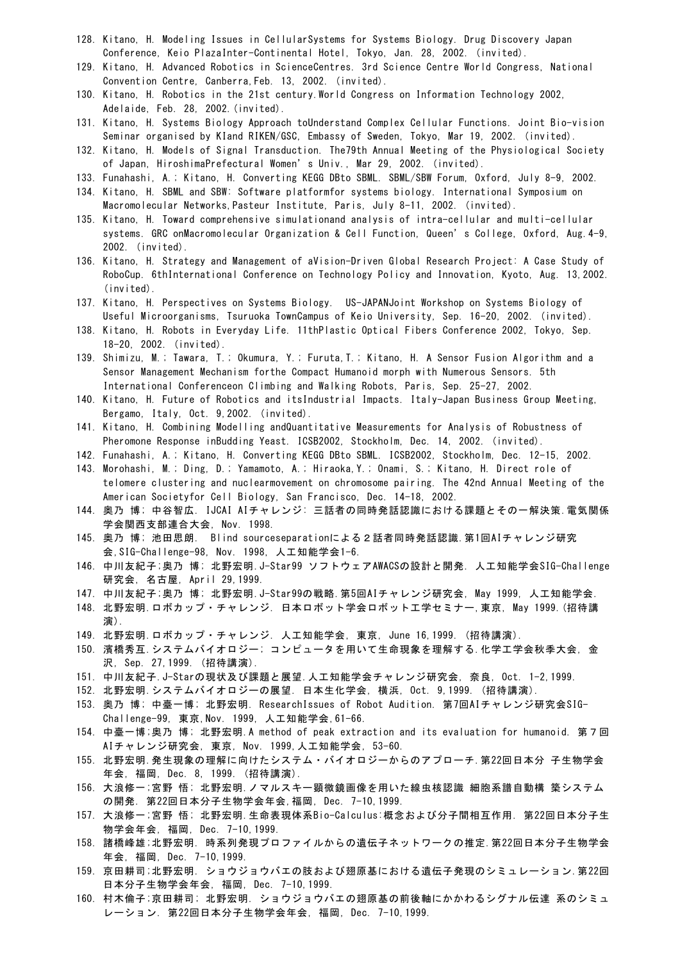- 128. Kitano, H. Modeling Issues in CellularSystems for Systems Biology. Drug Discovery Japan Conference, Keio PlazaInter-Continental Hotel, Tokyo, Jan. 28, 2002. (invited).
- 129. Kitano, H. Advanced Robotics in ScienceCentres. 3rd Science Centre World Congress, National Convention Centre, Canberra,Feb. 13, 2002. (invited).
- 130. Kitano, H. Robotics in the 21st century.World Congress on Information Technology 2002, Adelaide, Feb. 28, 2002.(invited).
- 131. Kitano, H. Systems Biology Approach toUnderstand Complex Cellular Functions. Joint Bio-vision Seminar organised by KIand RIKEN/GSC, Embassy of Sweden, Tokyo, Mar 19, 2002. (invited).
- 132. Kitano, H. Models of Signal Transduction. The79th Annual Meeting of the Physiological Society of Japan, HiroshimaPrefectural Women's Univ., Mar 29, 2002. (invited).
- 133. Funahashi, A.; Kitano, H. Converting KEGG DBto SBML. SBML/SBW Forum, Oxford, July 8-9, 2002.
- 134. Kitano, H. SBML and SBW: Software platformfor systems biology. International Symposium on Macromolecular Networks,Pasteur Institute, Paris, July 8-11, 2002. (invited).
- 135. Kitano, H. Toward comprehensive simulationand analysis of intra-cellular and multi-cellular systems. GRC onMacromolecular Organization & Cell Function, Queen's College, Oxford, Aug.4-9, 2002. (invited).
- 136. Kitano, H. Strategy and Management of aVision-Driven Global Research Project: A Case Study of RoboCup. 6thInternational Conference on Technology Policy and Innovation, Kyoto, Aug. 13,2002. (invited).
- 137. Kitano, H. Perspectives on Systems Biology. US-JAPANJoint Workshop on Systems Biology of Useful Microorganisms, Tsuruoka TownCampus of Keio University, Sep. 16-20, 2002. (invited).
- 138. Kitano, H. Robots in Everyday Life. 11thPlastic Optical Fibers Conference 2002, Tokyo, Sep. 18-20, 2002. (invited).
- 139. Shimizu, M.; Tawara, T.; Okumura, Y.; Furuta,T.; Kitano, H. A Sensor Fusion Algorithm and a Sensor Management Mechanism forthe Compact Humanoid morph with Numerous Sensors. 5th International Conferenceon Climbing and Walking Robots, Paris, Sep. 25-27, 2002.
- 140. Kitano, H. Future of Robotics and itsIndustrial Impacts. Italy-Japan Business Group Meeting, Bergamo, Italy, Oct. 9,2002. (invited).
- 141. Kitano, H. Combining Modelling andQuantitative Measurements for Analysis of Robustness of Pheromone Response inBudding Yeast. ICSB2002, Stockholm, Dec. 14, 2002. (invited).
- 142. Funahashi, A.; Kitano, H. Converting KEGG DBto SBML. ICSB2002, Stockholm, Dec. 12-15, 2002.
- 143. Morohashi, M.; Ding, D.; Yamamoto, A.; Hiraoka,Y.; Onami, S.; Kitano, H. Direct role of telomere clustering and nuclearmovement on chromosome pairing. The 42nd Annual Meeting of the American Societyfor Cell Biology, San Francisco, Dec. 14-18, 2002.
- 144. 奥乃 博; 中谷智広. IJCAI AIチャレンジ: 三話者の同時発話認識における課題とその一解決策.電気関係 学会関西支部連合大会, Nov. 1998.
- 145. 奥乃 博; 池田思朗. Blind sourceseparationによる2話者同時発話認識.第1回AIチャレンジ研究 会,SIG-Challenge-98, Nov. 1998, 人工知能学会1-6.
- 146. 中川友紀子;奥乃 博; 北野宏明.J-Star99 ソフトウェアAWACSの設計と開発. 人工知能学会SIG-Challenge 研究会, 名古屋, April 29,1999.
- 147. 中川友紀子;奥乃 博; 北野宏明.J-Star99の戦略.第5回AIチャレンジ研究会, May 1999, 人工知能学会.
- 148. 北野宏明.ロボカップ・チャレンジ. 日本ロボット学会ロボット工学セミナー,東京, May 1999.(招待講 演).
- 149. 北野宏明.ロボカップ・チャレンジ. 人工知能学会, 東京, June 16,1999. (招待講演).
- 150. 濱橋秀互.システムバイオロジー; コンピュータを用いて生命現象を理解する.化学工学会秋季大会, 金 沢, Sep. 27,1999. (招待講演).
- 151. 中川友紀子.J-Starの現状及び課題と展望.人工知能学会チャレンジ研究会, 奈良, Oct. 1-2,1999.
- 152. 北野宏明.システムバイオロジーの展望. 日本生化学会, 横浜, Oct. 9,1999. (招待講演).
- 153. 奥乃 博; 中臺一博; 北野宏明. ResearchIssues of Robot Audition. 第7回AIチャレンジ研究会SIG-Challenge-99, 東京,Nov. 1999, 人工知能学会,61-66.
- 154. 中臺一博;奥乃 博; 北野宏明.A method of peak extraction and its evaluation for humanoid. 第7回 AIチャレンジ研究会, 東京, Nov. 1999,人工知能学会, 53-60.
- 155. 北野宏明.発生現象の理解に向けたシステム・バイオロジーからのアプローチ.第22回日本分 子生物学会 年会, 福岡, Dec. 8, 1999. (招待講演).
- 156. 大浪修一;宮野 悟; 北野宏明.ノマルスキー顕微鏡画像を用いた線虫核認識 細胞系譜自動構 築システム の開発. 第22回日本分子生物学会年会,福岡, Dec. 7-10,1999.
- 157. 大浪修一;宮野 悟; 北野宏明.生命表現体系Bio-Calculus:概念および分子間相互作用. 第22回日本分子生 物学会年会, 福岡, Dec. 7-10,1999.
- 158. 諸橋峰雄;北野宏明. 時系列発現プロファイルからの遺伝子ネットワークの推定.第22回日本分子生物学会 年会, 福岡, Dec. 7-10,1999.
- 159. 京田耕司;北野宏明. ショウジョウバエの肢および翅原基における遺伝子発現のシミュレーション.第22回 日本分子生物学会年会, 福岡, Dec. 7-10,1999.
- 160. 村木倫子;京田耕司; 北野宏明. ショウジョウバエの翅原基の前後軸にかかわるシグナル伝達 系のシミュ レーション. 第22回日本分子生物学会年会, 福岡, Dec. 7-10,1999.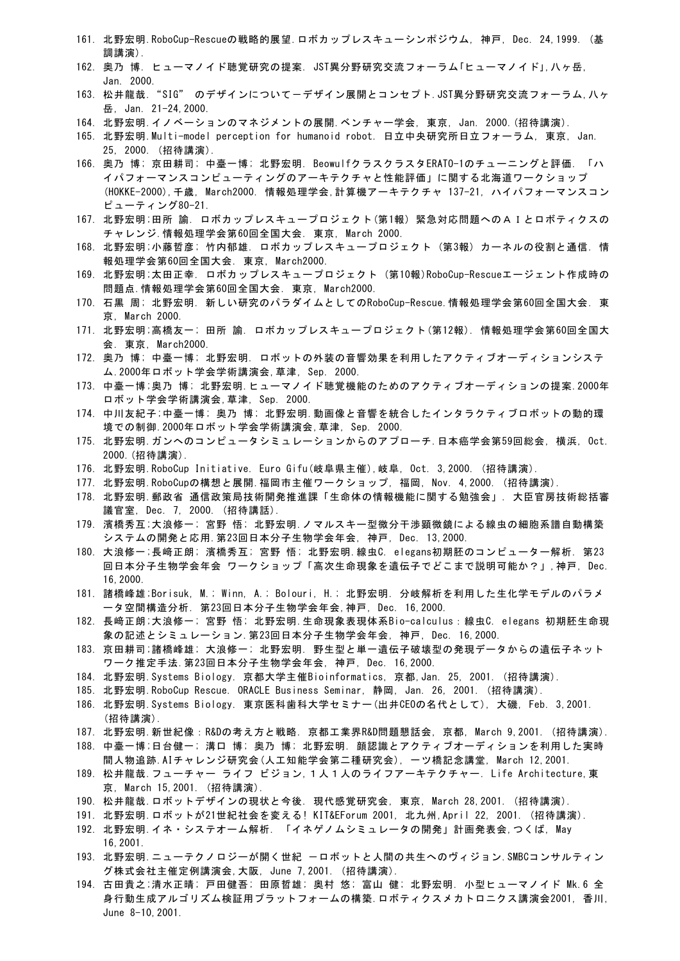- 161. 北野宏明.RoboCup-Rescueの戦略的展望.ロボカップレスキューシンポジウム, 神戸, Dec. 24,1999. (基 調講演).
- 162. 奥乃 博. ヒューマノイド聴覚研究の提案. JST異分野研究交流フォーラム「ヒューマノイド」,八ヶ岳, Jan. 2000.
- 163. 松井龍哉. "SIG" のデザインについてーデザイン展開とコンセプト.JST異分野研究交流フォーラム,ハヶ 岳, Jan. 21-24,2000.
- 164. 北野宏明.イノベーションのマネジメントの展開.ベンチャー学会, 東京, Jan. 2000.(招待講演).
- 165. 北野宏明.Multi-model perception for humanoid robot. 日立中央研究所日立フォーラム, 東京, Jan. 25, 2000. (招待講演).
- 166. 奥乃 博; 京田耕司; 中臺一博; 北野宏明. BeowulfクラスクラスタERATO-1のチューニングと評価. 「ハ イパフォーマンスコンピューティングのアーキテクチャと性能評価」に関する北海道ワークショップ (HOKKE-2000),千歳, March2000. 情報処理学会,計算機アーキテクチャ 137-21, ハイパフォーマンスコン ピューティング80-21.
- 167. 北野宏明;田所 諭. ロボカップレスキュープロジェクト(第1報) 緊急対応問題へのAIとロボティクスの チャレンジ.情報処理学会第60回全国大会. 東京, March 2000.
- 168. 北野宏明;小藤哲彦; 竹内郁雄. ロボカップレスキュープロジェクト (第3報) カーネルの役割と通信. 情 報処理学会第60回全国大会. 東京, March2000.
- 169. 北野宏明;太田正幸. ロボカップレスキュープロジェクト (第10報)RoboCup-Rescueエージェント作成時の 問題点.情報処理学会第60回全国大会. 東京, March2000.
- 170. 石黒 周; 北野宏明. 新しい研究のパラダイムとしてのRoboCup-Rescue.情報処理学会第60回全国大会. 東 京, March 2000.
- 171. 北野宏明;高橋友一; 田所 諭. ロボカップレスキュープロジェクト(第12報). 情報処理学会第60回全国大 会. 東京, March2000.
- 172. 奥乃 博; 中臺一博; 北野宏明. ロボットの外装の音響効果を利用したアクティブオーディションシステ ム.2000年ロボット学会学術講演会,草津, Sep. 2000.
- 173. 中臺一博;奥乃 博; 北野宏明.ヒューマノイド聴覚機能のためのアクティブオーディションの提案.2000年 ロボット学会学術講演会,草津, Sep. 2000.
- 174. 中川友紀子;中臺一博; 奥乃 博; 北野宏明.動画像と音響を統合したインタラクティブロボットの動的環 境での制御.2000年ロボット学会学術講演会,草津, Sep. 2000.
- 175. 北野宏明.ガンへのコンピュータシミュレーションからのアプローチ.日本癌学会第59回総会, 横浜, Oct. 2000.(招待講演).
- 176. 北野宏明.RoboCup Initiative. Euro Gifu(岐阜県主催),岐阜, Oct. 3,2000. (招待講演).
- 177. 北野宏明.RoboCupの構想と展開.福岡市主催ワークショップ, 福岡, Nov. 4,2000. (招待講演).
- 178. 北野宏明.郵政省 通信政策局技術開発推進課「生命体の情報機能に関する勉強会」. 大臣官房技術総括審 議官室, Dec. 7, 2000. (招待講話).
- 179. 濱橋秀互;大浪修一; 宮野 悟; 北野宏明.ノマルスキー型微分干渉顕微鏡による線虫の細胞系譜自動構築 システムの開発と応用.第23回日本分子生物学会年会, 神戸, Dec. 13,2000.
- 180. 大浪修一;長﨑正朗; 濱橋秀互; 宮野 悟; 北野宏明.線虫C. elegans初期胚のコンピューター解析. 第23 回日本分子生物学会年会 ワークショップ「高次生命現象を遺伝子でどこまで説明可能か?」,神戸, Dec. 16,2000.
- 181. 諸橋峰雄;Borisuk, M.; Winn, A.; Bolouri, H.; 北野宏明. 分岐解析を利用した生化学モデルのパラメ ータ空間構造分析. 第23回日本分子生物学会年会,神戸, Dec. 16,2000.
- 182. 長﨑正朗;大浪修一; 宮野 悟; 北野宏明.生命現象表現体系Bio-calculus:線虫C. elegans 初期胚生命現 象の記述とシミュレーション.第23回日本分子生物学会年会, 神戸, Dec. 16,2000.
- 183. 京田耕司;諸橋峰雄; 大浪修一; 北野宏明. 野生型と単一遺伝子破壊型の発現データからの遺伝子ネット ワーク推定手法.第23回日本分子生物学会年会, 神戸, Dec. 16,2000.
- 184. 北野宏明.Systems Biology. 京都大学主催Bioinformatics, 京都,Jan. 25, 2001. (招待講演).
- 185. 北野宏明.RoboCup Rescue. ORACLE Business Seminar, 静岡, Jan. 26, 2001. (招待講演).
- 186. 北野宏明.Systems Biology. 東京医科歯科大学セミナー(出井CEOの名代として), 大磯, Feb. 3,2001. (招待講演).
- 187. 北野宏明.新世紀像:R&Dの考え方と戦略. 京都工業界R&D問題懇話会, 京都, March 9,2001. (招待講演).
- 188. 中臺一博;日台健一; 溝口 博; 奥乃 博; 北野宏明. 顔認識とアクティブオーディションを利用した実時 間人物追跡.AIチャレンジ研究会(人工知能学会第二種研究会), 一ツ橋記念講堂, March 12,2001.
- 189. 松井龍哉.フューチャー ライフ ビジョン,1人1人のライフアーキテクチャー. Life Architecture,東 京, March 15,2001. (招待講演).
- 190. 松井龍哉.ロボットデザインの現状と今後. 現代感覚研究会, 東京, March 28,2001. (招待講演).
- 191. 北野宏明.ロボットが21世紀社会を変える! KIT&EForum 2001, 北九州,April 22, 2001. (招待講演).
- 192. 北野宏明.イネ・システオーム解析. 「イネゲノムシミュレータの開発」計画発表会,つくば, May 16,2001.
- 193. 北野宏明.ニューテクノロジーが開く世紀 -ロボットと人間の共生へのヴィジョン.SMBCコンサルティン グ株式会社主催定例講演会,大阪, June 7,2001. (招待講演).
- 194. 古田貴之;清水正晴; 戸田健吾; 田原哲雄; 奥村 悠; 富山 健; 北野宏明. 小型ヒューマノイド Mk.6 全 身行動生成アルゴリズム検証用プラットフォームの構築.ロボティクスメカトロニクス講演会2001, 香川, June 8-10,2001.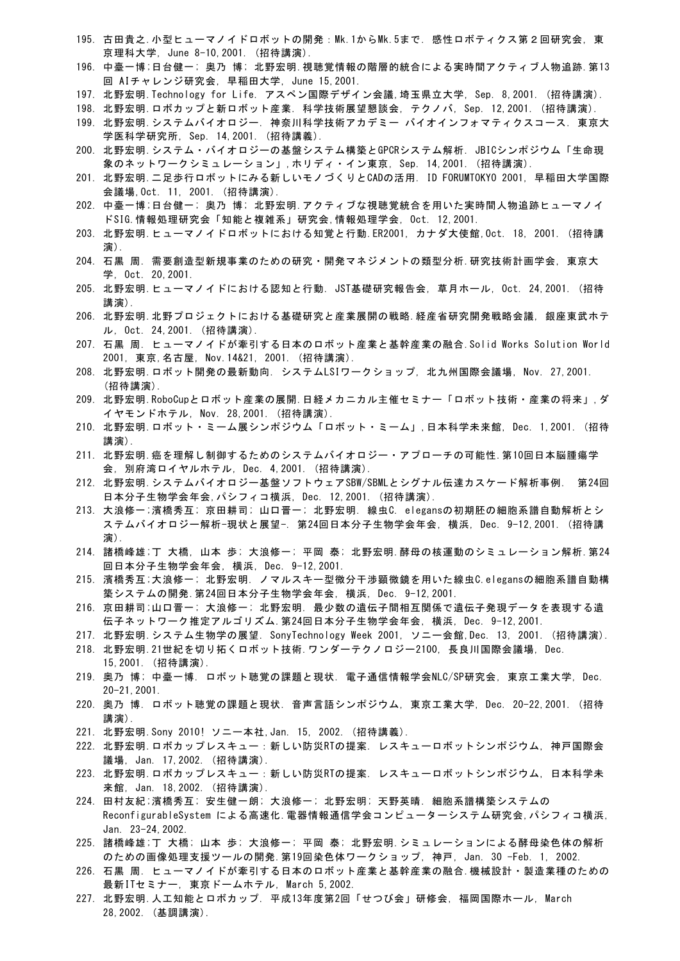- 195. 古田貴之. 小型ヒューマノイドロボットの開発: Mk.1からMk.5まで. 感性ロボティクス第2回研究会, 東 京理科大学, June 8-10,2001. (招待講演).
- 196. 中臺一博;日台健一; 奥乃 博; 北野宏明.視聴覚情報の階層的統合による実時間アクティブ人物追跡.第13 回 AIチャレンジ研究会, 早稲田大学, June 15,2001.
- 197. 北野宏明.Technology for Life. アスペン国際デザイン会議,埼玉県立大学, Sep. 8,2001. (招待講演).
- 198. 北野宏明.ロボカップと新ロボット産業. 科学技術展望懇談会, テクノバ, Sep. 12,2001. (招待講演).
- 199. 北野宏明.システムバイオロジー. 神奈川科学技術アカデミー バイオインフォマティクスコース. 東京大 学医科学研究所, Sep. 14,2001. (招待講義).
- 200. 北野宏明.システム・バイオロジーの基盤システム構築とGPCRシステム解析. JBICシンポジウム「生命現 象のネットワークシミュレーション」,ホリディ・イン東京, Sep. 14,2001. (招待講演).
- 201. 北野宏明.二足歩行ロボットにみる新しいモノづくりとCADの活用. ID FORUMTOKYO 2001, 早稲田大学国際 会議場,Oct. 11, 2001. (招待講演).
- 202. 中臺一博;日台健一; 奥乃 博; 北野宏明.アクティブな視聴覚統合を用いた実時間人物追跡ヒューマノイ ドSIG.情報処理研究会「知能と複雑系」研究会,情報処理学会, Oct. 12,2001.
- 203. 北野宏明.ヒューマノイドロボットにおける知覚と行動.ER2001, カナダ大使館,Oct. 18, 2001. (招待講 演).
- 204. 石黒 周. 需要創造型新規事業のための研究・開発マネジメントの類型分析.研究技術計画学会, 東京大 学, Oct. 20,2001.
- 205. 北野宏明.ヒューマノイドにおける認知と行動. JST基礎研究報告会, 草月ホール, Oct. 24,2001. (招待 講演).
- 206. 北野宏明.北野プロジェクトにおける基礎研究と産業展開の戦略.経産省研究開発戦略会議, 銀座東武ホテ ル, Oct. 24,2001. (招待講演).
- 207. 石黒 周. ヒューマノイドが牽引する日本のロボット産業と基幹産業の融合.Solid Works Solution World 2001, 東京,名古屋, Nov.14&21, 2001. (招待講演).
- 208. 北野宏明.ロボット開発の最新動向. システムLSIワークショップ, 北九州国際会議場, Nov. 27,2001. (招待講演).
- 209. 北野宏明.RoboCupとロボット産業の展開.日経メカニカル主催セミナー「ロボット技術・産業の将来」,ダ イヤモンドホテル, Nov. 28,2001. (招待講演).
- 210. 北野宏明.ロボット・ミーム展シンポジウム「ロボット・ミーム」,日本科学未来館, Dec. 1,2001. (招待 講演).
- 211. 北野宏明.癌を理解し制御するためのシステムバイオロジー・アプローチの可能性.第10回日本脳腫瘍学 会, 別府湾ロイヤルホテル, Dec. 4,2001. (招待講演).
- 212. 北野宏明.システムバイオロジー基盤ソフトウェアSBW/SBMLとシグナル伝達カスケード解析事例. 第24回 日本分子生物学会年会,パシフィコ横浜, Dec. 12,2001. (招待講演).
- 213. 大浪修一;濱橋秀互; 京田耕司; 山口晋一; 北野宏明. 線虫C. elegansの初期胚の細胞系譜自動解析とシ ステムバイオロジー解析-現状と展望-. 第24回日本分子生物学会年会, 横浜, Dec. 9-12,2001. (招待講 演).
- 214. 諸橋峰雄;丁 大橋, 山本 歩; 大浪修一; 平岡 泰; 北野宏明.酵母の核運動のシミュレーション解析.第24 回日本分子生物学会年会, 横浜, Dec. 9-12,2001.
- 215. 濱橋秀互;大浪修一; 北野宏明. ノマルスキー型微分干渉顕微鏡を用いた線虫C.elegansの細胞系譜自動構 築システムの開発.第24回日本分子生物学会年会, 横浜, Dec. 9-12,2001.
- 216. 京田耕司;山口晋一; 大浪修一; 北野宏明. 最少数の遺伝子間相互関係で遺伝子発現データを表現する遺 伝子ネットワーク推定アルゴリズム.第24回日本分子生物学会年会, 横浜, Dec. 9-12,2001.
- 217. 北野宏明.システム生物学の展望. SonyTechnology Week 2001, ソニー会館,Dec. 13, 2001. (招待講演). 218. 北野宏明.21世紀を切り拓くロボット技術.ワンダーテクノロジー2100, 長良川国際会議場, Dec.
- 15,2001. (招待講演). 219. 奥乃 博; 中臺一博. ロボット聴覚の課題と現状. 電子通信情報学会NLC/SP研究会, 東京工業大学, Dec. 20-21,2001.
- 220. 奥乃 博. ロボット聴覚の課題と現状. 音声言語シンポジウム, 東京工業大学, Dec. 20-22,2001. (招待 講演).
- 221. 北野宏明.Sony 2010! ソニー本社,Jan. 15, 2002. (招待講義).
- 222. 北野宏明.ロボカップレスキュー:新しい防災RTの提案. レスキューロボットシンポジウム, 神戸国際会 議場, Jan. 17,2002. (招待講演).
- 223. 北野宏明.ロボカップレスキュー:新しい防災RTの提案. レスキューロボットシンポジウム, 日本科学未 来館, Jan. 18,2002. (招待講演).
- 224. 田村友紀;濱橋秀互; 安生健一朗; 大浪修一; 北野宏明; 天野英晴. 細胞系譜構築システムの ReconfigurableSystem による高速化.電器情報通信学会コンピューターシステム研究会,パシフィコ横浜, Jan. 23-24,2002.
- 225. 諸橋峰雄;丁 大橋; 山本 歩; 大浪修一; 平岡 泰; 北野宏明.シミュレーションによる酵母染色体の解析 のための画像処理支援ツールの開発.第19回染色体ワークショップ, 神戸, Jan. 30 -Feb. 1, 2002.
- 226. 石黒 周. ヒューマノイドが牽引する日本のロボット産業と基幹産業の融合.機械設計・製造業種のための 最新ITセミナー, 東京ドームホテル, March 5,2002.
- 227. 北野宏明.人工知能とロボカップ. 平成13年度第2回「せつび会」研修会, 福岡国際ホール, March 28,2002. (基調講演).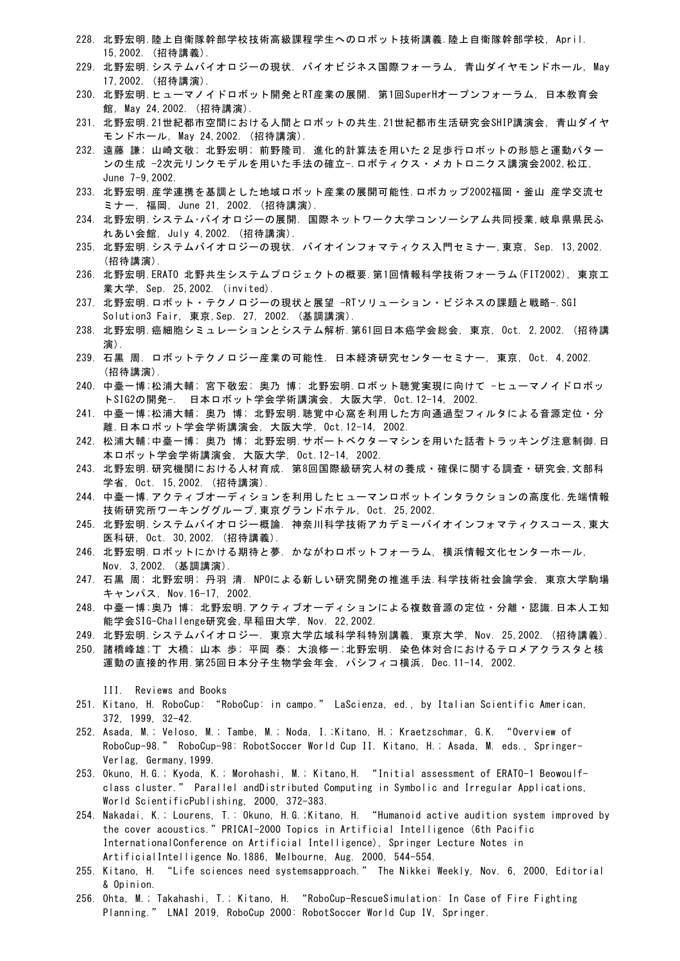- 228. 北野宏明.陸上自衛隊幹部学校技術高級課程学生へのロボット技術講義.陸上自衛隊幹部学校, April. 15,2002. (招待講義).
- 229. 北野宏明.システムバイオロジーの現状. バイオビジネス国際フォーラム, 青山ダイヤモンドホール, May 17,2002. (招待講演).
- 230. 北野宏明.ヒューマノイドロボット開発とRT産業の展開. 第1回SuperHオープンフォーラム, 日本教育会 館, May 24,2002. (招待講演).
- 231. 北野宏明.21世紀都市空間における人間とロボットの共生.21世紀都市生活研究会SHIP講演会, 青山ダイヤ モンドホール, May 24,2002. (招待講演).
- 232. 遠藤 謙; 山崎文敬; 北野宏明; 前野隆司. 進化的計算法を用いた2足歩行ロボットの形態と運動パター ンの生成 -2次元リンクモデルを用いた手法の確立-.ロボティクス・メカトロニクス講演会2002,松江, June 7-9,2002.
- 233. 北野宏明.産学連携を基調とした地域ロボット産業の展開可能性.ロボカップ2002福岡・釜山 産学交流セ ミナー, 福岡, June 21, 2002. (招待講演).
- 234. 北野宏明.システム・バイオロジーの展開. 国際ネットワーク大学コンソーシアム共同授業,岐阜県県民ふ れあい会館, July 4,2002. (招待講演).
- 235. 北野宏明.システムバイオロジーの現状. バイオインフォマティクス入門セミナー,東京, Sep. 13,2002. (招待講演).
- 236. 北野宏明.ERATO 北野共生システムプロジェクトの概要.第1回情報科学技術フォーラム(FIT2002), 東京工 業大学, Sep. 25,2002. (invited).
- 237. 北野宏明.ロボット・テクノロジーの現状と展望 -RTソリューション・ビジネスの課題と戦略-.SGI Solution3 Fair, 東京,Sep. 27, 2002. (基調講演).
- 238. 北野宏明.癌細胞シミュレーションとシステム解析.第61回日本癌学会総会, 東京, Oct. 2,2002. (招待講 演).
- 239. 石黒 周. ロボットテクノロジー産業の可能性. 日本経済研究センターセミナー, 東京, Oct. 4,2002. (招待講演).
- 240. 中臺一博;松浦大輔; 宮下敬宏; 奥乃 博; 北野宏明.ロボット聴覚実現に向けて −ヒューマノイドロボッ トSIG2の開発-. 日本ロボット学会学術講演会, 大阪大学, Oct.12-14, 2002.
- 241. 中臺一博;松浦大輔; 奥乃 博; 北野宏明.聴覚中心窩を利用した方向通過型フィルタによる音源定位・分 離.日本ロボット学会学術講演会, 大阪大学, Oct.12-14, 2002.
- 242. 松浦大輔;中臺一博; 奥乃 博; 北野宏明.サポートベクターマシンを用いた話者トラッキング注意制御.日 本ロボット学会学術講演会, 大阪大学, Oct.12-14, 2002.
- 243. 北野宏明.研究機関における人材育成. 第8回国際級研究人材の養成・確保に関する調査・研究会,文部科 学省, Oct. 15,2002. (招待講演).
- 244. 中臺一博.アクティブオーディションを利用したヒューマンロボットインタラクションの高度化.先端情報 技術研究所ワーキンググループ,東京グランドホテル, Oct. 25,2002.
- 245. 北野宏明.システムバイオロジー概論. 神奈川科学技術アカデミーバイオインフォマティクスコース,東大 医科研, Oct. 30,2002. (招待講義).
- 246. 北野宏明.ロボットにかける期待と夢. かながわロボットフォーラム, 横浜情報文化センターホール, Nov. 3,2002. (基調講演).
- 247. 石黒 周; 北野宏明; 丹羽 清. NPOによる新しい研究開発の推進手法.科学技術社会論学会, 東京大学駒場 キャンパス, Nov.16-17, 2002.
- 248. 中臺一博;奥乃 博; 北野宏明.アクティブオーディションによる複数音源の定位・分離・認識.日本人工知 能学会SIG-Challenge研究会,早稲田大学, Nov. 22,2002.
- 249. 北野宏明.システムバイオロジー. 東京大学広域科学科特別講義, 東京大学, Nov. 25,2002. (招待講義).
- 250. 諸橋峰雄;丁 大橋; 山本 歩; 平岡 泰; 大浪修一;北野宏明. 染色体対合におけるテロメアクラスタと核 運動の直接的作用.第25回日本分子生物学会年会, パシフィコ横浜, Dec.11-14, 2002.
	- III. Reviews and Books
- 251. Kitano, H. RoboCup: "RoboCup: in campo." LaScienza, ed., by Italian Scientific American, 372, 1999, 32-42.
- 252. Asada, M.; Veloso, M.; Tambe, M.; Noda, I.;Kitano, H.; Kraetzschmar, G.K. "Overview of RoboCup-98." RoboCup-98: RobotSoccer World Cup II. Kitano, H.; Asada, M. eds., Springer-Verlag, Germany,1999.
- 253. Okuno, H.G.; Kyoda, K.; Morohashi, M.; Kitano,H. "Initial assessment of ERATO-1 Beowoulfclass cluster." Parallel andDistributed Computing in Symbolic and Irregular Applications, World ScientificPublishing, 2000, 372-383.
- 254. Nakadai, K.; Lourens, T.: Okuno, H.G.;Kitano, H. "Humanoid active audition system improved by the cover acoustics."PRICAI-2000 Topics in Artificial Intelligence (6th Pacific InternationalConference on Artificial Intelligence), Springer Lecture Notes in ArtificialIntelligence No.1886, Melbourne, Aug. 2000, 544-554.
- 255. Kitano, H. "Life sciences need systemsapproach." The Nikkei Weekly, Nov. 6, 2000, Editorial & Opinion.
- 256. Ohta, M.; Takahashi, T.; Kitano, H. "RoboCup-RescueSimulation: In Case of Fire Fighting Planning." LNAI 2019, RoboCup 2000: RobotSoccer World Cup IV, Springer.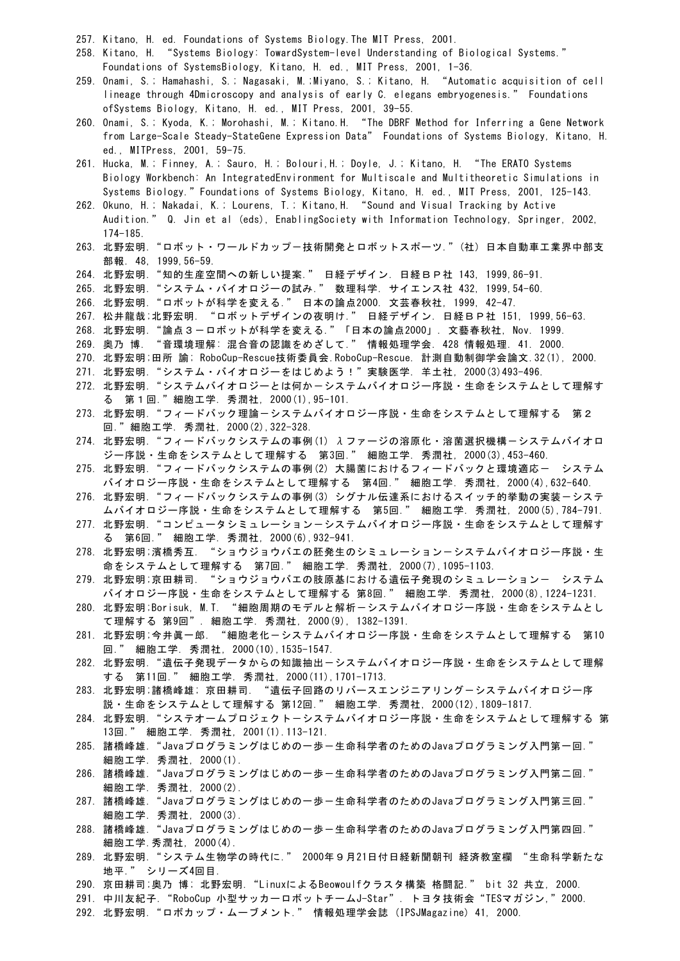- 257. Kitano, H. ed. Foundations of Systems Biology.The MIT Press, 2001.
- 258. Kitano, H. "Systems Biology: TowardSystem-level Understanding of Biological Systems." Foundations of SystemsBiology, Kitano, H. ed., MIT Press, 2001, 1-36.
- 259. Onami, S.; Hamahashi, S.; Nagasaki, M.;Miyano, S.; Kitano, H. "Automatic acquisition of cell lineage through 4Dmicroscopy and analysis of early C. elegans embryogenesis." Foundations ofSystems Biology, Kitano, H. ed., MIT Press, 2001, 39-55.
- 260. Onami, S.; Kyoda, K.; Morohashi, M.; Kitano.H. "The DBRF Method for Inferring a Gene Network from Large-Scale Steady-StateGene Expression Data" Foundations of Systems Biology, Kitano, H. ed., MITPress, 2001, 59-75.
- 261. Hucka, M.; Finney, A.; Sauro, H.; Bolouri,H.; Doyle, J.; Kitano, H. "The ERATO Systems Biology Workbench: An IntegratedEnvironment for Multiscale and Multitheoretic Simulations in Systems Biology."Foundations of Systems Biology, Kitano, H. ed., MIT Press, 2001, 125-143.
- 262. Okuno, H.; Nakadai, K.; Lourens, T.; Kitano,H. "Sound and Visual Tracking by Active Audition." Q. Jin et al (eds), EnablingSociety with Information Technology, Springer, 2002, 174-185.
- 263. 北野宏明."ロボット・ワールドカップ-技術開発とロボットスポーツ."(社) 日本自動車工業界中部支 部報. 48, 1999,56-59.
- 264. 北野宏明."知的生産空間への新しい提案." 日経デザイン. 日経BP社 143, 1999,86-91.
- 265. 北野宏明."システム・バイオロジーの試み." 数理科学. サイエンス社 432, 1999,54-60.
- 266. 北野宏明."ロボットが科学を変える." 日本の論点2000. 文芸春秋社, 1999, 42-47.
- 267. 松井龍哉;北野宏明. "ロボットデザインの夜明け." 日経デザイン. 日経BP社 151, 1999,56-63.
- 268. 北野宏明."論点3-ロボットが科学を変える."「日本の論点2000」. 文藝春秋社, Nov. 1999.
- 269. 奥乃 博. "音環境理解: 混合音の認識をめざして." 情報処理学会. 428 情報処理. 41. 2000.
- 270. 北野宏明;田所 諭; RoboCup-Rescue技術委員会.RoboCup-Rescue. 計測自動制御学会論文.32(1), 2000.
- 271. 北野宏明."システム・バイオロジーをはじめよう!"実験医学. 羊土社, 2000(3)493-496.
- 272. 北野宏明. "システムバイオロジーとは何かーシステムバイオロジー序説・生命をシステムとして理解す る 第1回."細胞工学. 秀潤社, 2000(1),95-101.
- 273. 北野宏明. "フィードバック理論ーシステムバイオロジー序説・生命をシステムとして理解する 第2 回."細胞工学. 秀潤社, 2000(2),322-328.
- 274. 北野宏明. "フィードバックシステムの事例(1)  $\lambda$ ファージの溶原化・溶菌選択機構ーシステムバイオロ ジー序説・生命をシステムとして理解する 第3回." 細胞工学. 秀潤社, 2000(3),453-460.
- 275. 北野宏明. "フィードバックシステムの事例(2) 大腸菌におけるフィードバックと環境適応ー システム バイオロジー序説・生命をシステムとして理解する 第4回." 細胞工学. 秀潤社, 2000(4),632-640.
- 276. 北野宏明. "フィードバックシステムの事例(3) シグナル伝達系におけるスイッチ的挙動の実装一システ ムバイオロジー序説・生命をシステムとして理解する 第5回." 細胞工学. 秀潤社, 2000(5),784-791.
- 277. 北野宏明. "コンピュータシミュレーション-システムバイオロジー序説・生命をシステムとして理解す る 第6回." 細胞工学. 秀潤社, 2000(6),932-941.
- 278. 北野宏明;濱橋秀互. "ショウジョウバエの胚発生のシミュレーションーシステムバイオロジー序説·生 命をシステムとして理解する 第7回." 細胞工学. 秀潤社, 2000(7),1095-1103.
- 279. 北野宏明;京田耕司. "ショウジョウバエの肢原基における遺伝子発現のシミュレーション- システム バイオロジー序説・生命をシステムとして理解する 第8回." 細胞工学. 秀潤社, 2000(8),1224-1231.
- 280. 北野宏明;Borisuk, M.T. "細胞周期のモデルと解析ーシステムバイオロジー序説・生命をシステムとし て理解する 第9回". 細胞工学. 秀潤社, 2000(9), 1382-1391.
- 281. 北野宏明;今井眞一郎. "細胞老化-システムバイオロジー序説・生命をシステムとして理解する 第10 回." 細胞工学. 秀潤社, 2000(10),1535-1547.
- 282. 北野宏明. "遺伝子発現データからの知識抽出ーシステムバイオロジー序説・生命をシステムとして理解 する 第11回." 細胞工学. 秀潤社, 2000(11),1701-1713.
- 283. 北野宏明;諸橋峰雄; 京田耕司. "遺伝子回路のリバースエンジニアリングーシステムバイオロジー序 説・生命をシステムとして理解する 第12回." 細胞工学. 秀潤社, 2000(12),1809-1817.
- 284. 北野宏明."システオームプロジェクト-システムバイオロジー序説・生命をシステムとして理解する 第 13回." 細胞工学. 秀潤社, 2001(1).113-121.
- 285. 諸橋峰雄. "Javaプログラミングはじめの一歩一生命科学者のためのJavaプログラミング入門第一回." 細胞工学. 秀潤社, 2000(1).
- 286. 諸橋峰雄. "Javaプログラミングはじめの一歩一生命科学者のためのJavaプログラミング入門第二回." 細胞工学. 秀潤社, 2000(2).
- 287. 諸橋峰雄. "Javaプログラミングはじめの一歩一生命科学者のためのJavaプログラミング入門第三回." 細胞工学. 秀潤社, 2000(3).
- 288. 諸橋峰雄. "Javaプログラミングはじめの一歩一生命科学者のためのJavaプログラミング入門第四回." 細胞工学.秀潤社, 2000(4).
- 289. 北野宏明."システム生物学の時代に." 2000年9月21日付日経新聞朝刊 経済教室欄 "生命科学新たな 地平." シリーズ4回目.
- 290. 京田耕司;奥乃 博; 北野宏明."LinuxによるBeowoulfクラスタ構築 格闘記." bit 32 共立, 2000.
- 291. 中川友紀子. "RoboCup 小型サッカーロボットチームJ-Star". トヨタ技術会 "TESマガジン, " 2000.
- 292. 北野宏明."ロボカップ・ムーブメント." 情報処理学会誌 (IPSJMagazine) 41, 2000.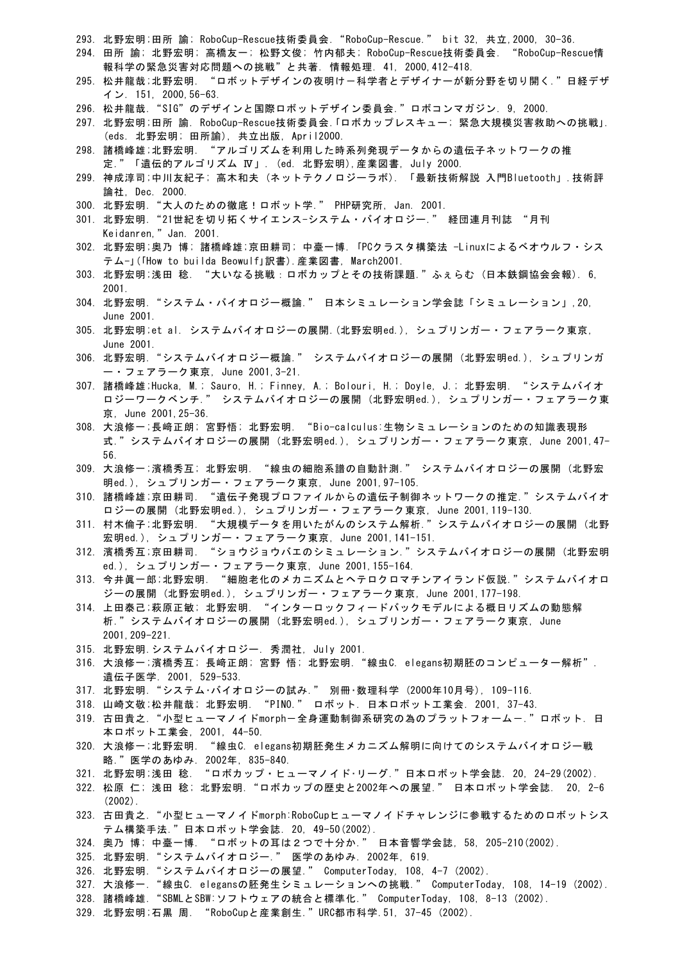- 293. 北野宏明;田所 諭; RoboCup-Rescue技術委員会."RoboCup-Rescue." bit 32, 共立,2000, 30-36.
- 294. 田所 諭; 北野宏明; 高橋友一; 松野文俊; 竹内郁夫; RoboCup-Rescue技術委員会. "RoboCup-Rescue情 報科学の緊急災害対応問題への挑戦"と共著. 情報処理. 41, 2000,412-418.
- 295. 松井龍哉;北野宏明. "ロボットデザインの夜明けー科学者とデザイナーが新分野を切り開く."日経デザ イン. 151, 2000,56-63.
- 296. 松井龍哉."SIG"のデザインと国際ロボットデザイン委員会."ロボコンマガジン. 9, 2000.
- 297. 北野宏明;田所 諭. RoboCup-Rescue技術委員会.「ロボカップレスキュー; 緊急大規模災害救助への挑戦」. (eds. 北野宏明; 田所諭), 共立出版, April2000.
- 298. 諸橋峰雄;北野宏明. "アルゴリズムを利用した時系列発現データからの遺伝子ネットワークの推 定."「遺伝的アルゴリズム Ⅳ」. (ed. 北野宏明),産業図書, July 2000.
- 299. 神成淳司;中川友紀子; 高木和夫 (ネットテクノロジーラボ). 「最新技術解説 入門Bluetooth」.技術評 論社, Dec. 2000.
- 300. 北野宏明."大人のための徹底!ロボット学." PHP研究所, Jan. 2001.
- 301. 北野宏明."21世紀を切り拓くサイエンス-システム・バイオロジー." 経団連月刊誌 "月刊 Keidanren,"Jan. 2001.
- 302. 北野宏明;奥乃 博; 諸橋峰雄;京田耕司; 中臺一博. 「PCクラスタ構築法 -Linuxによるベオウルフ・シス テム-」(「How to builda Beowulf」訳書).産業図書, March2001.
- 303. 北野宏明;浅田 稔. "大いなる挑戦:ロボカップとその技術課題."ふぇらむ (日本鉄鋼協会会報). 6, 2001.
- 304. 北野宏明."システム・バイオロジー概論." 日本シミュレーション学会誌「シミュレーション」,20, June 2001.
- 305. 北野宏明;et al. システムバイオロジーの展開.(北野宏明ed.), シュプリンガー・フェアラーク東京, June 2001.
- 306. 北野宏明."システムバイオロジー概論." システムバイオロジーの展開 (北野宏明ed.), シュプリンガ ー・フェアラーク東京, June 2001,3-21.
- 307. 諸橋峰雄;Hucka, M.; Sauro, H.; Finney, A.; Bolouri, H.; Doyle, J.; 北野宏明. "システムバイオ ロジーワークベンチ." システムバイオロジーの展開 (北野宏明ed.), シュプリンガー・フェアラーク東 京, June 2001,25-36.
- 308. 大浪修一;長﨑正朗; 宮野悟; 北野宏明. "Bio-calculus:生物シミュレーションのための知識表現形 式."システムバイオロジーの展開 (北野宏明ed.), シュプリンガー・フェアラーク東京, June 2001,47- 56.
- 309. 大浪修一;濱橋秀互; 北野宏明. "線虫の細胞系譜の自動計測." システムバイオロジーの展開 (北野宏 明ed.), シュプリンガー・フェアラーク東京, June 2001,97-105.
- 310. 諸橋峰雄;京田耕司. "遺伝子発現プロファイルからの遺伝子制御ネットワークの推定."システムバイオ ロジーの展開 (北野宏明ed.), シュプリンガー・フェアラーク東京, June 2001,119-130.
- 311. 村木倫子;北野宏明. "大規模データを用いたがんのシステム解析."システムバイオロジーの展開 (北野 宏明ed.), シュプリンガー・フェアラーク東京, June 2001,141-151.
- 312. 濱橋秀互;京田耕司. "ショウジョウバエのシミュレーション."システムバイオロジーの展開 (北野宏明 ed.), シュプリンガー・フェアラーク東京, June 2001,155-164.
- 313. 今井眞一郎;北野宏明. "細胞老化のメカニズムとヘテロクロマチンアイランド仮説."システムバイオロ ジーの展開 (北野宏明ed.), シュプリンガー・フェアラーク東京, June 2001,177-198.
- 314. 上田泰己;萩原正敏; 北野宏明. "インターロックフィードバックモデルによる概日リズムの動態解 析."システムバイオロジーの展開 (北野宏明ed.), シュプリンガー・フェアラーク東京, June 2001,209-221.
- 315. 北野宏明.システムバイオロジー. 秀潤社, July 2001.
- 316. 大浪修一;濱橋秀互; 長﨑正朗; 宮野 悟; 北野宏明. "線虫C. elegans初期胚のコンピューター解析". 遺伝子医学. 2001, 529-533.
- 317. 北野宏明."システム・バイオロジーの試み." 別冊・数理科学 (2000年10月号), 109-116.
- 318. 山崎文敬;松井龍哉; 北野宏明. "PINO." ロボット. 日本ロボット工業会. 2001, 37-43.
- 319. 古田貴之. "小型ヒューマノイドmorph一全身運動制御系研究の為のプラットフォームー."口ボット. 日 本ロボット工業会, 2001, 44-50.
- 320. 大浪修一;北野宏明. "線虫C. elegans初期胚発生メカニズム解明に向けてのシステムバイオロジー戦 略."医学のあゆみ. 2002年, 835-840.
- 321. 北野宏明;浅田 稔. "ロボカップ・ヒューマノイド・リーグ."日本ロボット学会誌. 20, 24-29(2002).
- 322. 松原 仁; 浅田 稔; 北野宏明."ロボカップの歴史と2002年への展望." 日本ロボット学会誌. 20, 2-6 (2002).
- 323. 古田貴之."小型ヒューマノイドmorph:RoboCupヒューマノイドチャレンジに参戦するためのロボットシス テム構築手法."日本ロボット学会誌. 20, 49-50(2002).
- 324. 奥乃 博; 中臺一博. "ロボットの耳は2つで十分か." 日本音響学会誌, 58, 205-210(2002).
- 325. 北野宏明."システムバイオロジー." 医学のあゆみ. 2002年, 619.
- 326. 北野宏明."システムバイオロジーの展望." ComputerToday, 108, 4-7 (2002).
- 327. 大浪修一. "線虫C. elegansの胚発生シミュレーションへの挑戦." ComputerToday, 108, 14-19 (2002).
- 328. 諸橋峰雄."SBMLとSBW:ソフトウェアの統合と標準化." ComputerToday, 108, 8-13 (2002).
- 329. 北野宏明;石黒 周. "RoboCupと産業創生."URC都市科学.51, 37-45 (2002).